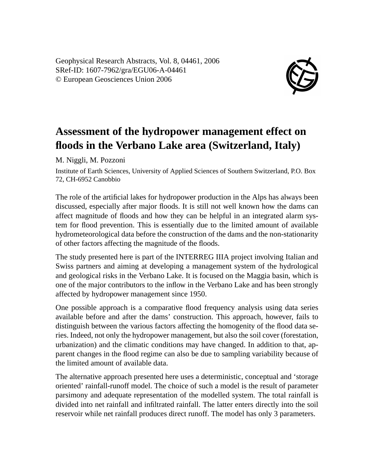Geophysical Research Abstracts, Vol. 8, 04461, 2006 SRef-ID: 1607-7962/gra/EGU06-A-04461 © European Geosciences Union 2006



## **Assessment of the hydropower management effect on floods in the Verbano Lake area (Switzerland, Italy)**

M. Niggli, M. Pozzoni

Institute of Earth Sciences, University of Applied Sciences of Southern Switzerland, P.O. Box 72, CH-6952 Canobbio

The role of the artificial lakes for hydropower production in the Alps has always been discussed, especially after major floods. It is still not well known how the dams can affect magnitude of floods and how they can be helpful in an integrated alarm system for flood prevention. This is essentially due to the limited amount of available hydrometeorological data before the construction of the dams and the non-stationarity of other factors affecting the magnitude of the floods.

The study presented here is part of the INTERREG IIIA project involving Italian and Swiss partners and aiming at developing a management system of the hydrological and geological risks in the Verbano Lake. It is focused on the Maggia basin, which is one of the major contributors to the inflow in the Verbano Lake and has been strongly affected by hydropower management since 1950.

One possible approach is a comparative flood frequency analysis using data series available before and after the dams' construction. This approach, however, fails to distinguish between the various factors affecting the homogenity of the flood data series. Indeed, not only the hydropower management, but also the soil cover (forestation, urbanization) and the climatic conditions may have changed. In addition to that, apparent changes in the flood regime can also be due to sampling variability because of the limited amount of available data.

The alternative approach presented here uses a deterministic, conceptual and 'storage oriented' rainfall-runoff model. The choice of such a model is the result of parameter parsimony and adequate representation of the modelled system. The total rainfall is divided into net rainfall and infiltrated rainfall. The latter enters directly into the soil reservoir while net rainfall produces direct runoff. The model has only 3 parameters.